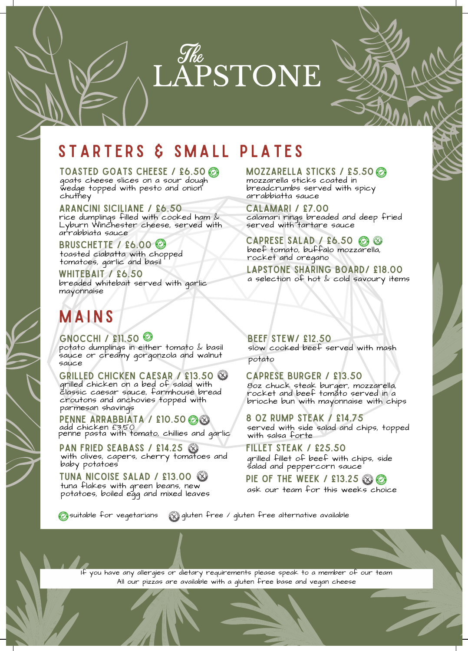

## STARTERS & SMALL PLATES

TOASTED GOATS CHEESE / £6.50 goats cheese slices on a sour dough wedge topped with pesto and onion chuthey

Arancini Siciliane / £6.50 rice dumplings filled with cooked ham & Lyburn Winchester cheese, served with arrabbiata sauce

BRUSCHETTE / £6.00 toasted ciabatta with chopped tomatoes, garlic and basil

whitebait / £6.50 breaded whitebait served with garlic mayonnaise

## **MAINS**

GNOCCHI / £11.50 potato dumplings in either tomato & basil sauce or creamy gorgonzola and walnut sauce

Grilled Chicken Caesar / £13.50 grilled chicken on a bed of salad with classic caesar sauce, farmhouse bread croutons and anchovies topped with parmesan shavings

PENNE ARRABBIATA / £10.50 0 penne pasta with tomato, chillies and garlic add chicken £3.50

pan fried seabass / £14.25 with olives, capers, cherry tomatoes and baby potatoes

tuna nicoise salad / £13.00 tuna flakes with green beans, new potatoes, boiled egg and mixed leaves

MOZZARELLA STICKS / £5.50 mozzarella sticks coated in breadcrumbs served with spicy arrabbiatta sauce

Calamari / £7.00 calamari rings breaded and deep fried served with tartare sauce

CAPRESE SALAD / £6.50  $\circledcirc$ beef tomato, buffalo mozzarella, rocket and oregano

lapstone sharing board/ £18.00 a selection of hot  $k$  cold savoury items

Beef Stew/ £12.50 slow cooked beef served with mash potato

Caprese Burger / £13.50 8oz chuck steak burger, mozzarella, rocket and beef tomato served in a brioche bun with mayonnaise with chips

8 oz Rump Steak / £14.75 served with side salad and chips, topped with salsa forte

fillet steak / £25.50 grilled fillet of beef with chips, side salad and peppercorn sauce

pie of the week / £13.25 ask our team for this weeks choice

suitable for vegetarians gluten free / gluten free alternative available

If you have any allergies or dietary requirements please speak to a member of our team All our pizzas are available with a gluten free base and vegan cheese